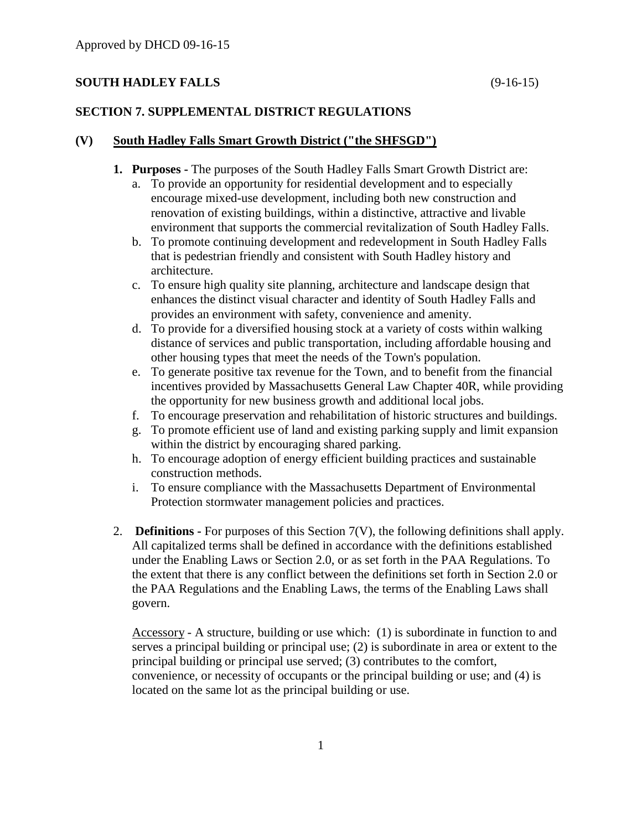# **SOUTH HADLEY FALLS** (9-16-15)

# **SECTION 7. SUPPLEMENTAL DISTRICT REGULATIONS**

### **(V) South Hadley Falls Smart Growth District ("the SHFSGD")**

- **1. Purposes -** The purposes of the South Hadley Falls Smart Growth District are:
	- a. To provide an opportunity for residential development and to especially encourage mixed-use development, including both new construction and renovation of existing buildings, within a distinctive, attractive and livable environment that supports the commercial revitalization of South Hadley Falls.
	- b. To promote continuing development and redevelopment in South Hadley Falls that is pedestrian friendly and consistent with South Hadley history and architecture.
	- c. To ensure high quality site planning, architecture and landscape design that enhances the distinct visual character and identity of South Hadley Falls and provides an environment with safety, convenience and amenity.
	- d. To provide for a diversified housing stock at a variety of costs within walking distance of services and public transportation, including affordable housing and other housing types that meet the needs of the Town's population.
	- e. To generate positive tax revenue for the Town, and to benefit from the financial incentives provided by Massachusetts General Law Chapter 40R, while providing the opportunity for new business growth and additional local jobs.
	- f. To encourage preservation and rehabilitation of historic structures and buildings.
	- g. To promote efficient use of land and existing parking supply and limit expansion within the district by encouraging shared parking.
	- h. To encourage adoption of energy efficient building practices and sustainable construction methods.
	- i. To ensure compliance with the Massachusetts Department of Environmental Protection stormwater management policies and practices.
- 2. **Definitions -** For purposes of this Section 7(V), the following definitions shall apply. All capitalized terms shall be defined in accordance with the definitions established under the Enabling Laws or Section 2.0, or as set forth in the PAA Regulations. To the extent that there is any conflict between the definitions set forth in Section 2.0 or the PAA Regulations and the Enabling Laws, the terms of the Enabling Laws shall govern.

Accessory - A structure, building or use which: (1) is subordinate in function to and serves a principal building or principal use; (2) is subordinate in area or extent to the principal building or principal use served; (3) contributes to the comfort, convenience, or necessity of occupants or the principal building or use; and (4) is located on the same lot as the principal building or use.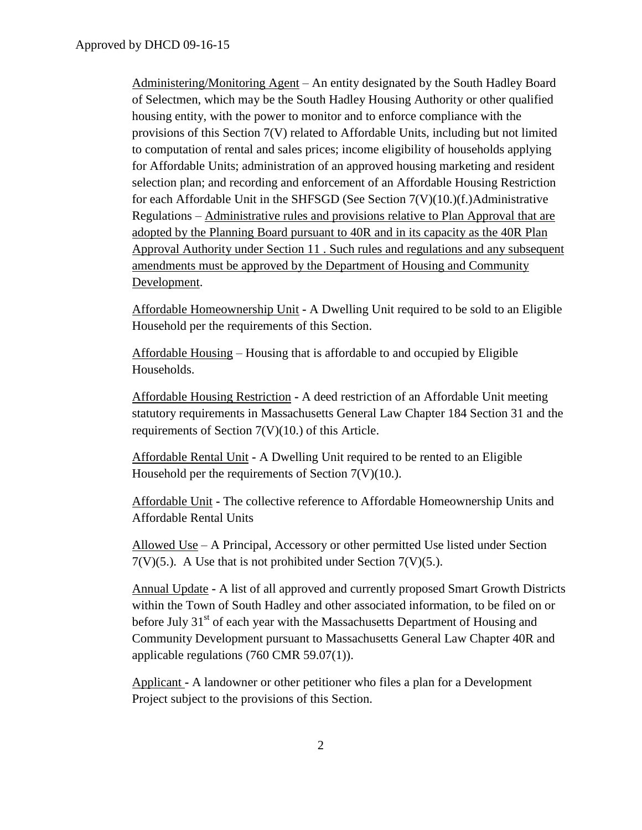Administering/Monitoring Agent – An entity designated by the South Hadley Board of Selectmen, which may be the South Hadley Housing Authority or other qualified housing entity, with the power to monitor and to enforce compliance with the provisions of this Section 7(V) related to Affordable Units, including but not limited to computation of rental and sales prices; income eligibility of households applying for Affordable Units; administration of an approved housing marketing and resident selection plan; and recording and enforcement of an Affordable Housing Restriction for each Affordable Unit in the SHFSGD (See Section  $7(V)(10.)(f.)$ Administrative Regulations – Administrative rules and provisions relative to Plan Approval that are adopted by the Planning Board pursuant to 40R and in its capacity as the 40R Plan Approval Authority under Section 11 . Such rules and regulations and any subsequent amendments must be approved by the Department of Housing and Community Development.

Affordable Homeownership Unit **-** A Dwelling Unit required to be sold to an Eligible Household per the requirements of this Section.

Affordable Housing – Housing that is affordable to and occupied by Eligible Households.

Affordable Housing Restriction **-** A deed restriction of an Affordable Unit meeting statutory requirements in Massachusetts General Law Chapter 184 Section 31 and the requirements of Section 7(V)(10.) of this Article.

Affordable Rental Unit **-** A Dwelling Unit required to be rented to an Eligible Household per the requirements of Section 7(V)(10.).

Affordable Unit **-** The collective reference to Affordable Homeownership Units and Affordable Rental Units

Allowed Use – A Principal, Accessory or other permitted Use listed under Section  $7(V)(5)$ . A Use that is not prohibited under Section  $7(V)(5)$ .

Annual Update **-** A list of all approved and currently proposed Smart Growth Districts within the Town of South Hadley and other associated information, to be filed on or before July  $31<sup>st</sup>$  of each year with the Massachusetts Department of Housing and Community Development pursuant to Massachusetts General Law Chapter 40R and applicable regulations (760 CMR 59.07(1)).

Applicant **-** A landowner or other petitioner who files a plan for a Development Project subject to the provisions of this Section.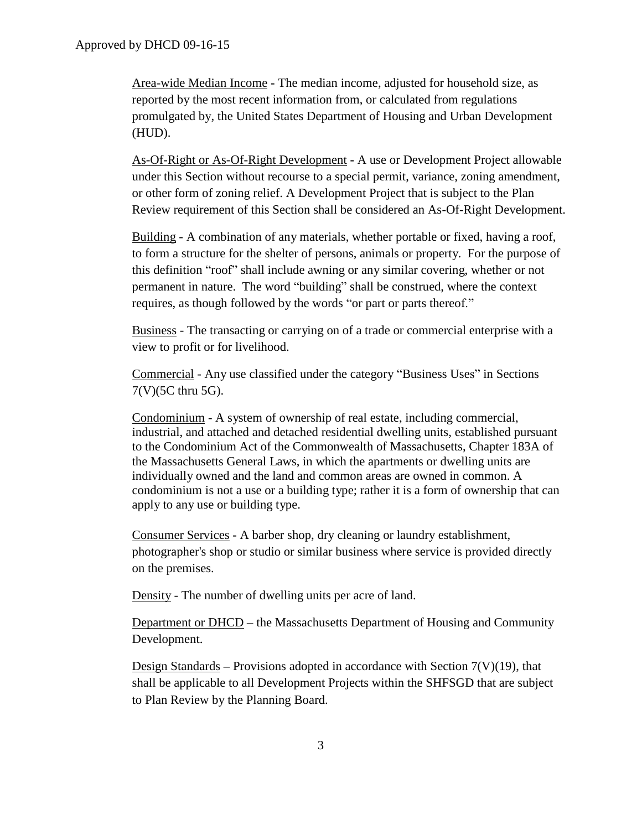Area-wide Median Income **-** The median income, adjusted for household size, as reported by the most recent information from, or calculated from regulations promulgated by, the United States Department of Housing and Urban Development (HUD).

As-Of-Right or As-Of-Right Development **-** A use or Development Project allowable under this Section without recourse to a special permit, variance, zoning amendment, or other form of zoning relief. A Development Project that is subject to the Plan Review requirement of this Section shall be considered an As-Of-Right Development.

Building - A combination of any materials, whether portable or fixed, having a roof, to form a structure for the shelter of persons, animals or property. For the purpose of this definition "roof" shall include awning or any similar covering, whether or not permanent in nature. The word "building" shall be construed, where the context requires, as though followed by the words "or part or parts thereof."

Business - The transacting or carrying on of a trade or commercial enterprise with a view to profit or for livelihood.

Commercial - Any use classified under the category "Business Uses" in Sections 7(V)(5C thru 5G).

Condominium - A system of ownership of real estate, including commercial, industrial, and attached and detached residential dwelling units, established pursuant to the Condominium Act of the Commonwealth of Massachusetts, Chapter 183A of the Massachusetts General Laws, in which the apartments or dwelling units are individually owned and the land and common areas are owned in common. A condominium is not a use or a building type; rather it is a form of ownership that can apply to any use or building type.

Consumer Services **-** A barber shop, dry cleaning or laundry establishment, photographer's shop or studio or similar business where service is provided directly on the premises.

Density - The number of dwelling units per acre of land.

Department or DHCD – the Massachusetts Department of Housing and Community Development.

Design Standards **–** Provisions adopted in accordance with Section 7(V)(19), that shall be applicable to all Development Projects within the SHFSGD that are subject to Plan Review by the Planning Board.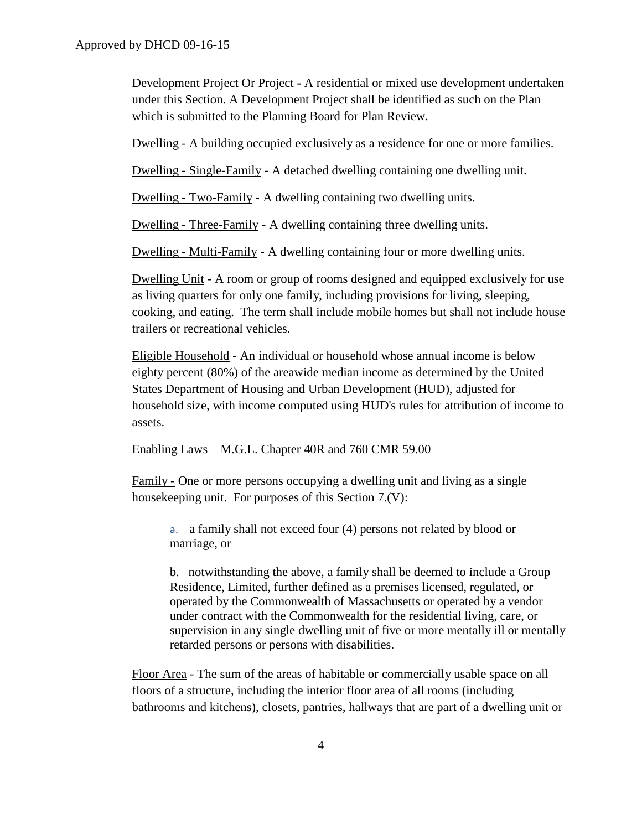Development Project Or Project **-** A residential or mixed use development undertaken under this Section. A Development Project shall be identified as such on the Plan which is submitted to the Planning Board for Plan Review.

Dwelling - A building occupied exclusively as a residence for one or more families.

Dwelling - Single-Family - A detached dwelling containing one dwelling unit.

Dwelling - Two-Family - A dwelling containing two dwelling units.

Dwelling - Three-Family - A dwelling containing three dwelling units.

Dwelling - Multi-Family - A dwelling containing four or more dwelling units.

Dwelling Unit - A room or group of rooms designed and equipped exclusively for use as living quarters for only one family, including provisions for living, sleeping, cooking, and eating. The term shall include mobile homes but shall not include house trailers or recreational vehicles.

Eligible Household **-** An individual or household whose annual income is below eighty percent (80%) of the areawide median income as determined by the United States Department of Housing and Urban Development (HUD), adjusted for household size, with income computed using HUD's rules for attribution of income to assets.

Enabling Laws – M.G.L. Chapter 40R and 760 CMR 59.00

Family - One or more persons occupying a dwelling unit and living as a single housekeeping unit. For purposes of this Section 7.(V):

a. a family shall not exceed four (4) persons not related by blood or marriage, or

b. notwithstanding the above, a family shall be deemed to include a Group Residence, Limited, further defined as a premises licensed, regulated, or operated by the Commonwealth of Massachusetts or operated by a vendor under contract with the Commonwealth for the residential living, care, or supervision in any single dwelling unit of five or more mentally ill or mentally retarded persons or persons with disabilities.

Floor Area - The sum of the areas of habitable or commercially usable space on all floors of a structure, including the interior floor area of all rooms (including bathrooms and kitchens), closets, pantries, hallways that are part of a dwelling unit or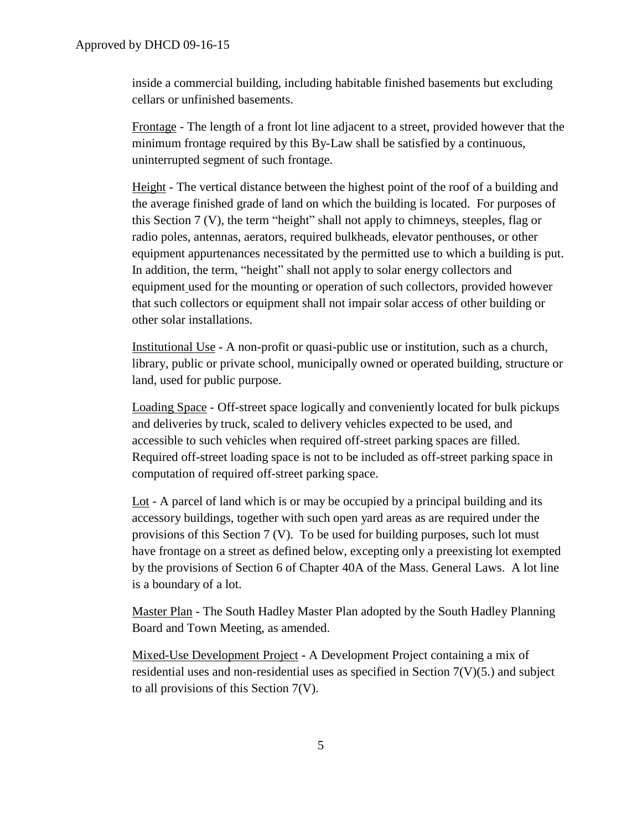inside a commercial building, including habitable finished basements but excluding cellars or unfinished basements.

Frontage - The length of a front lot line adjacent to a street, provided however that the minimum frontage required by this By-Law shall be satisfied by a continuous, uninterrupted segment of such frontage.

Height - The vertical distance between the highest point of the roof of a building and the average finished grade of land on which the building is located. For purposes of this Section 7 (V), the term "height" shall not apply to chimneys, steeples, flag or radio poles, antennas, aerators, required bulkheads, elevator penthouses, or other equipment appurtenances necessitated by the permitted use to which a building is put. In addition, the term, "height" shall not apply to solar energy collectors and equipment used for the mounting or operation of such collectors, provided however that such collectors or equipment shall not impair solar access of other building or other solar installations.

Institutional Use **-** A non-profit or quasi-public use or institution, such as a church, library, public or private school, municipally owned or operated building, structure or land, used for public purpose.

Loading Space - Off-street space logically and conveniently located for bulk pickups and deliveries by truck, scaled to delivery vehicles expected to be used, and accessible to such vehicles when required off-street parking spaces are filled. Required off-street loading space is not to be included as off-street parking space in computation of required off-street parking space.

Lot - A parcel of land which is or may be occupied by a principal building and its accessory buildings, together with such open yard areas as are required under the provisions of this Section 7 (V). To be used for building purposes, such lot must have frontage on a street as defined below, excepting only a preexisting lot exempted by the provisions of Section 6 of Chapter 40A of the Mass. General Laws. A lot line is a boundary of a lot.

Master Plan - The South Hadley Master Plan adopted by the South Hadley Planning Board and Town Meeting, as amended.

Mixed-Use Development Project **-** A Development Project containing a mix of residential uses and non-residential uses as specified in Section  $7(V)(5)$  and subject to all provisions of this Section 7(V).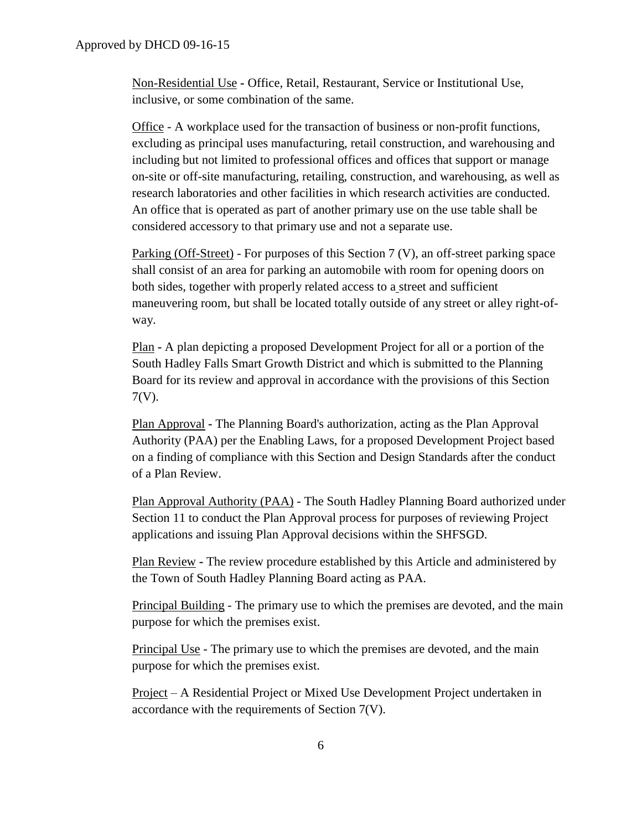Non-Residential Use **-** Office, Retail, Restaurant, Service or Institutional Use, inclusive, or some combination of the same.

Office - A workplace used for the transaction of business or non-profit functions, excluding as principal uses manufacturing, retail construction, and warehousing and including but not limited to professional offices and offices that support or manage on-site or off-site manufacturing, retailing, construction, and warehousing, as well as research laboratories and other facilities in which research activities are conducted. An office that is operated as part of another primary use on the use table shall be considered accessory to that primary use and not a separate use.

Parking (Off-Street) - For purposes of this Section 7 (V), an off-street parking space shall consist of an area for parking an automobile with room for opening doors on both sides, together with properly related access to a street and sufficient maneuvering room, but shall be located totally outside of any street or alley right-ofway.

Plan **-** A plan depicting a proposed Development Project for all or a portion of the South Hadley Falls Smart Growth District and which is submitted to the Planning Board for its review and approval in accordance with the provisions of this Section 7(V).

Plan Approval **-** The Planning Board's authorization, acting as the Plan Approval Authority (PAA) per the Enabling Laws, for a proposed Development Project based on a finding of compliance with this Section and Design Standards after the conduct of a Plan Review.

Plan Approval Authority (PAA) - The South Hadley Planning Board authorized under Section 11 to conduct the Plan Approval process for purposes of reviewing Project applications and issuing Plan Approval decisions within the SHFSGD.

Plan Review **-** The review procedure established by this Article and administered by the Town of South Hadley Planning Board acting as PAA.

Principal Building - The primary use to which the premises are devoted, and the main purpose for which the premises exist.

Principal Use - The primary use to which the premises are devoted, and the main purpose for which the premises exist.

Project – A Residential Project or Mixed Use Development Project undertaken in accordance with the requirements of Section 7(V).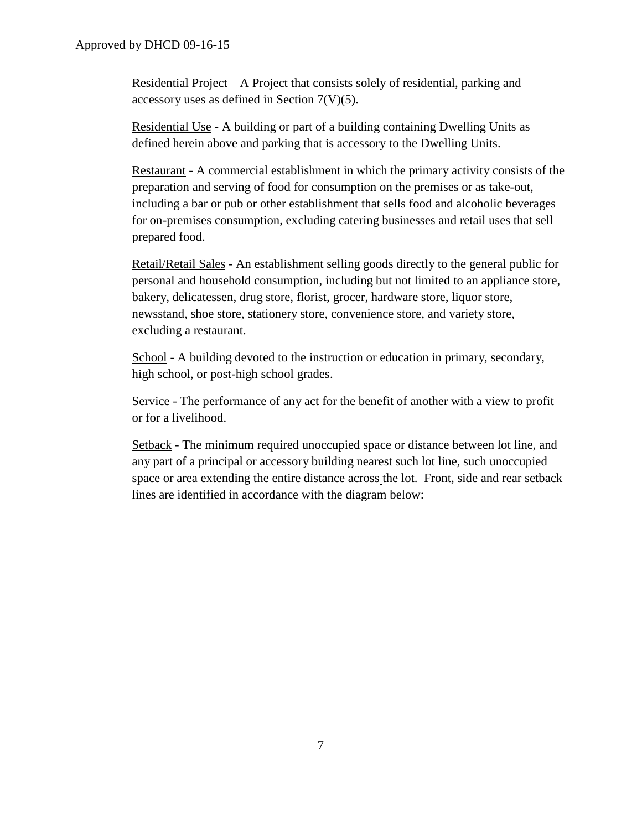Residential Project – A Project that consists solely of residential, parking and accessory uses as defined in Section 7(V)(5).

Residential Use **-** A building or part of a building containing Dwelling Units as defined herein above and parking that is accessory to the Dwelling Units.

Restaurant - A commercial establishment in which the primary activity consists of the preparation and serving of food for consumption on the premises or as take-out, including a bar or pub or other establishment that sells food and alcoholic beverages for on-premises consumption, excluding catering businesses and retail uses that sell prepared food.

Retail/Retail Sales - An establishment selling goods directly to the general public for personal and household consumption, including but not limited to an appliance store, bakery, delicatessen, drug store, florist, grocer, hardware store, liquor store, newsstand, shoe store, stationery store, convenience store, and variety store, excluding a restaurant.

School - A building devoted to the instruction or education in primary, secondary, high school, or post-high school grades.

Service - The performance of any act for the benefit of another with a view to profit or for a livelihood.

Setback - The minimum required unoccupied space or distance between lot line, and any part of a principal or accessory building nearest such lot line, such unoccupied space or area extending the entire distance across the lot. Front, side and rear setback lines are identified in accordance with the diagram below: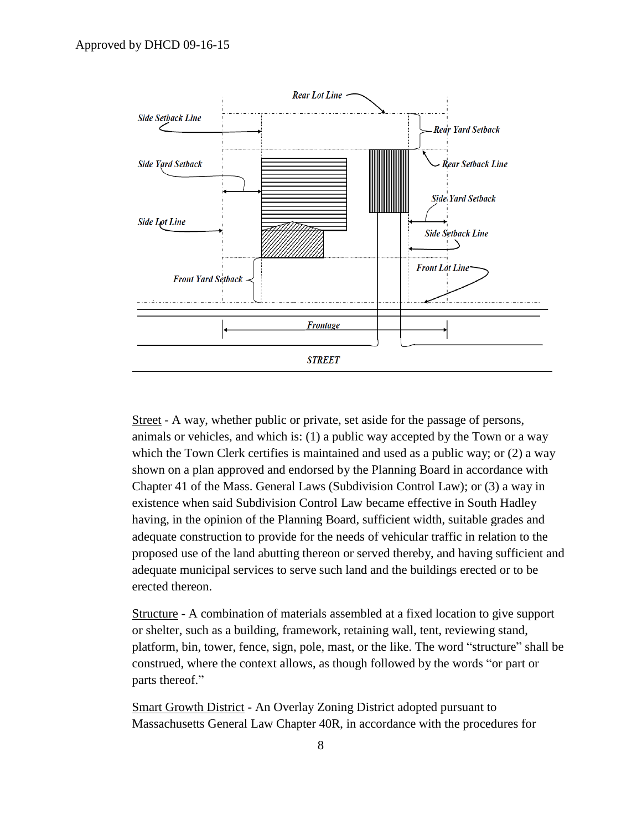

Street - A way, whether public or private, set aside for the passage of persons, animals or vehicles, and which is: (1) a public way accepted by the Town or a way which the Town Clerk certifies is maintained and used as a public way; or (2) a way shown on a plan approved and endorsed by the Planning Board in accordance with Chapter 41 of the Mass. General Laws (Subdivision Control Law); or (3) a way in existence when said Subdivision Control Law became effective in South Hadley having, in the opinion of the Planning Board, sufficient width, suitable grades and adequate construction to provide for the needs of vehicular traffic in relation to the proposed use of the land abutting thereon or served thereby, and having sufficient and adequate municipal services to serve such land and the buildings erected or to be erected thereon.

Structure - A combination of materials assembled at a fixed location to give support or shelter, such as a building, framework, retaining wall, tent, reviewing stand, platform, bin, tower, fence, sign, pole, mast, or the like. The word "structure" shall be construed, where the context allows, as though followed by the words "or part or parts thereof."

Smart Growth District **-** An Overlay Zoning District adopted pursuant to Massachusetts General Law Chapter 40R, in accordance with the procedures for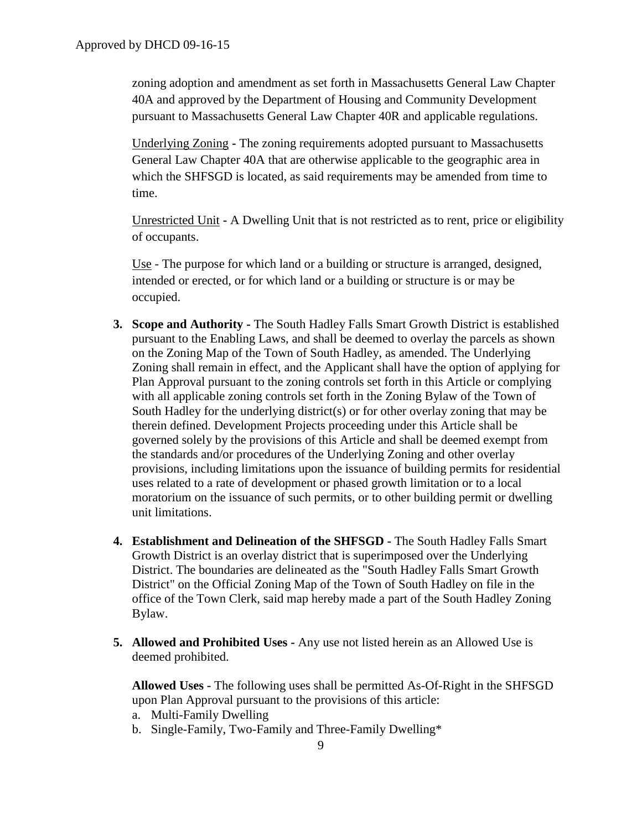zoning adoption and amendment as set forth in Massachusetts General Law Chapter 40A and approved by the Department of Housing and Community Development pursuant to Massachusetts General Law Chapter 40R and applicable regulations.

Underlying Zoning **-** The zoning requirements adopted pursuant to Massachusetts General Law Chapter 40A that are otherwise applicable to the geographic area in which the SHFSGD is located, as said requirements may be amended from time to time.

Unrestricted Unit **-** A Dwelling Unit that is not restricted as to rent, price or eligibility of occupants.

Use - The purpose for which land or a building or structure is arranged, designed, intended or erected, or for which land or a building or structure is or may be occupied.

- **3. Scope and Authority -** The South Hadley Falls Smart Growth District is established pursuant to the Enabling Laws, and shall be deemed to overlay the parcels as shown on the Zoning Map of the Town of South Hadley, as amended. The Underlying Zoning shall remain in effect, and the Applicant shall have the option of applying for Plan Approval pursuant to the zoning controls set forth in this Article or complying with all applicable zoning controls set forth in the Zoning Bylaw of the Town of South Hadley for the underlying district(s) or for other overlay zoning that may be therein defined. Development Projects proceeding under this Article shall be governed solely by the provisions of this Article and shall be deemed exempt from the standards and/or procedures of the Underlying Zoning and other overlay provisions, including limitations upon the issuance of building permits for residential uses related to a rate of development or phased growth limitation or to a local moratorium on the issuance of such permits, or to other building permit or dwelling unit limitations.
- **4. Establishment and Delineation of the SHFSGD -** The South Hadley Falls Smart Growth District is an overlay district that is superimposed over the Underlying District. The boundaries are delineated as the "South Hadley Falls Smart Growth District" on the Official Zoning Map of the Town of South Hadley on file in the office of the Town Clerk, said map hereby made a part of the South Hadley Zoning Bylaw.
- **5. Allowed and Prohibited Uses -** Any use not listed herein as an Allowed Use is deemed prohibited.

**Allowed Uses -** The following uses shall be permitted As-Of-Right in the SHFSGD upon Plan Approval pursuant to the provisions of this article:

- a. Multi-Family Dwelling
- b. Single-Family, Two-Family and Three-Family Dwelling\*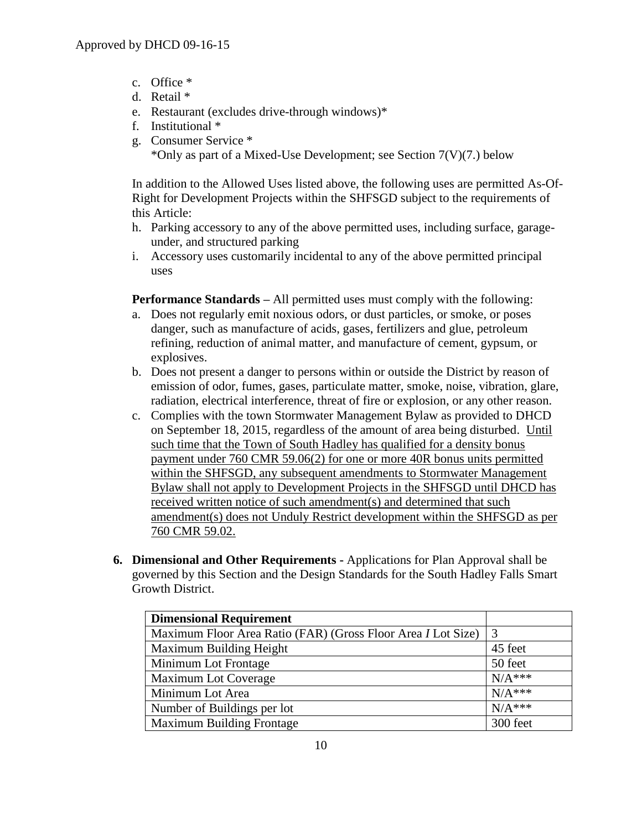- c. Office \*
- d. Retail \*
- e. Restaurant (excludes drive-through windows)\*
- f. Institutional \*
- g. Consumer Service \* \*Only as part of a Mixed-Use Development; see Section  $7(V)(7)$  below

In addition to the Allowed Uses listed above, the following uses are permitted As-Of-Right for Development Projects within the SHFSGD subject to the requirements of this Article:

- h. Parking accessory to any of the above permitted uses, including surface, garageunder, and structured parking
- i. Accessory uses customarily incidental to any of the above permitted principal uses

**Performance Standards** – All permitted uses must comply with the following:

- a. Does not regularly emit noxious odors, or dust particles, or smoke, or poses danger, such as manufacture of acids, gases, fertilizers and glue, petroleum refining, reduction of animal matter, and manufacture of cement, gypsum, or explosives.
- b. Does not present a danger to persons within or outside the District by reason of emission of odor, fumes, gases, particulate matter, smoke, noise, vibration, glare, radiation, electrical interference, threat of fire or explosion, or any other reason.
- c. Complies with the town Stormwater Management Bylaw as provided to DHCD on September 18, 2015, regardless of the amount of area being disturbed. Until such time that the Town of South Hadley has qualified for a density bonus payment under 760 CMR 59.06(2) for one or more 40R bonus units permitted within the SHFSGD, any subsequent amendments to Stormwater Management Bylaw shall not apply to Development Projects in the SHFSGD until DHCD has received written notice of such amendment(s) and determined that such amendment(s) does not Unduly Restrict development within the SHFSGD as per 760 CMR 59.02.
- **6. Dimensional and Other Requirements -** Applications for Plan Approval shall be governed by this Section and the Design Standards for the South Hadley Falls Smart Growth District.

| <b>Dimensional Requirement</b>                                      |           |
|---------------------------------------------------------------------|-----------|
| Maximum Floor Area Ratio (FAR) (Gross Floor Area <i>I</i> Lot Size) | 3         |
| Maximum Building Height                                             | 45 feet   |
| Minimum Lot Frontage                                                | 50 feet   |
| Maximum Lot Coverage                                                | $N/A$ *** |
| Minimum Lot Area                                                    | $N/A***$  |
| Number of Buildings per lot                                         | $N/A***$  |
| <b>Maximum Building Frontage</b>                                    | 300 feet  |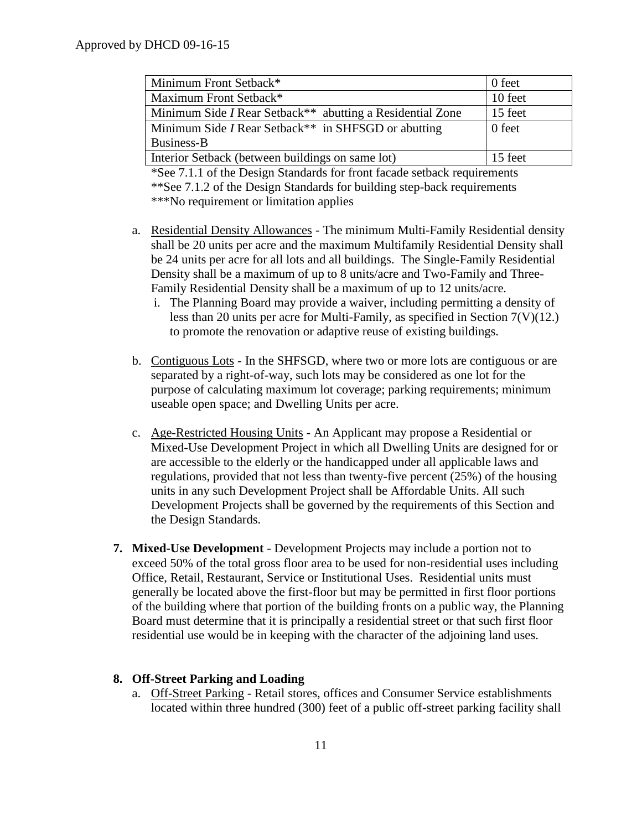| Minimum Front Setback*                                                       | 0 feet  |
|------------------------------------------------------------------------------|---------|
| Maximum Front Setback*                                                       | 10 feet |
| Minimum Side <i>I</i> Rear Setback <sup>**</sup> abutting a Residential Zone | 15 feet |
| Minimum Side <i>I</i> Rear Setback <sup>**</sup> in SHFSGD or abutting       | 0 feet  |
| Business-B                                                                   |         |
| Interior Setback (between buildings on same lot)                             | 15 feet |

\*See 7.1.1 of the Design Standards for front facade setback requirements \*\*See 7.1.2 of the Design Standards for building step-back requirements \*\*\*No requirement or limitation applies

- a. Residential Density Allowances The minimum Multi-Family Residential density shall be 20 units per acre and the maximum Multifamily Residential Density shall be 24 units per acre for all lots and all buildings. The Single-Family Residential Density shall be a maximum of up to 8 units/acre and Two-Family and Three-Family Residential Density shall be a maximum of up to 12 units/acre.
	- i. The Planning Board may provide a waiver, including permitting a density of less than 20 units per acre for Multi-Family, as specified in Section 7(V)(12.) to promote the renovation or adaptive reuse of existing buildings.
- b. Contiguous Lots In the SHFSGD, where two or more lots are contiguous or are separated by a right-of-way, such lots may be considered as one lot for the purpose of calculating maximum lot coverage; parking requirements; minimum useable open space; and Dwelling Units per acre.
- c. Age-Restricted Housing Units An Applicant may propose a Residential or Mixed-Use Development Project in which all Dwelling Units are designed for or are accessible to the elderly or the handicapped under all applicable laws and regulations, provided that not less than twenty-five percent (25%) of the housing units in any such Development Project shall be Affordable Units. All such Development Projects shall be governed by the requirements of this Section and the Design Standards.
- **7. Mixed-Use Development** Development Projects may include a portion not to exceed 50% of the total gross floor area to be used for non-residential uses including Office, Retail, Restaurant, Service or Institutional Uses. Residential units must generally be located above the first-floor but may be permitted in first floor portions of the building where that portion of the building fronts on a public way, the Planning Board must determine that it is principally a residential street or that such first floor residential use would be in keeping with the character of the adjoining land uses.

### **8. Off-Street Parking and Loading**

a. Off-Street Parking - Retail stores, offices and Consumer Service establishments located within three hundred (300) feet of a public off-street parking facility shall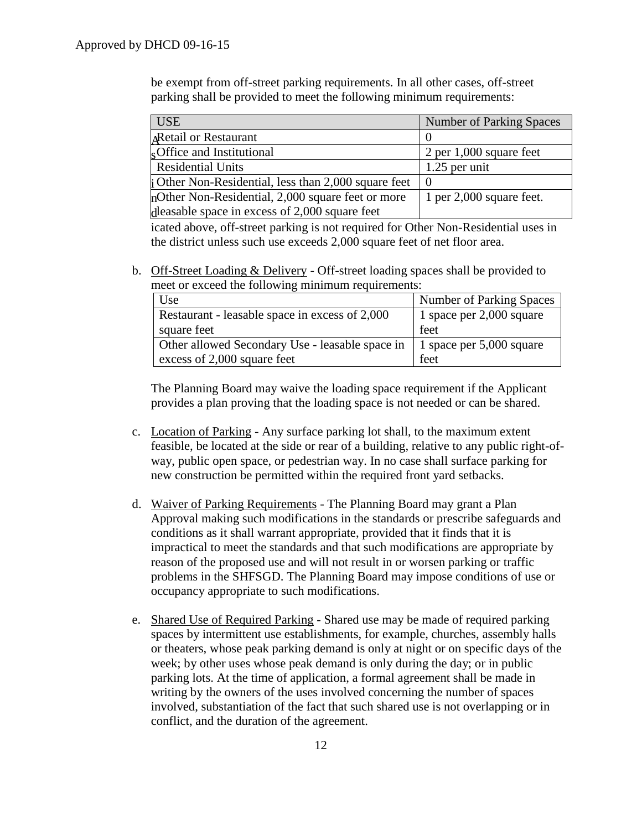be exempt from off-street parking requirements. In all other cases, off-street parking shall be provided to meet the following minimum requirements:

| <b>USE</b>                                                  | <b>Number of Parking Spaces</b> |
|-------------------------------------------------------------|---------------------------------|
| <b>Retail or Restaurant</b>                                 |                                 |
| Office and Institutional                                    | $2$ per 1,000 square feet       |
| <b>Residential Units</b>                                    | $1.25$ per unit                 |
| <b>i</b> Other Non-Residential, less than 2,000 square feet |                                 |
| mother Non-Residential, 2,000 square feet or more           | 1 per $2,000$ square feet.      |
| dleasable space in excess of 2,000 square feet              |                                 |

icated above, off-street parking is not required for Other Non-Residential uses in the district unless such use exceeds 2,000 square feet of net floor area.

b. Off-Street Loading & Delivery - Off-street loading spaces shall be provided to meet or exceed the following minimum requirements:

| Use                                             | <b>Number of Parking Spaces</b> |
|-------------------------------------------------|---------------------------------|
| Restaurant - leasable space in excess of 2,000  | 1 space per 2,000 square        |
| square feet                                     | feet                            |
| Other allowed Secondary Use - leasable space in | 1 space per 5,000 square        |
| excess of 2,000 square feet                     | feet                            |

The Planning Board may waive the loading space requirement if the Applicant provides a plan proving that the loading space is not needed or can be shared.

- c. Location of Parking Any surface parking lot shall, to the maximum extent feasible, be located at the side or rear of a building, relative to any public right-ofway, public open space, or pedestrian way. In no case shall surface parking for new construction be permitted within the required front yard setbacks.
- d. Waiver of Parking Requirements The Planning Board may grant a Plan Approval making such modifications in the standards or prescribe safeguards and conditions as it shall warrant appropriate, provided that it finds that it is impractical to meet the standards and that such modifications are appropriate by reason of the proposed use and will not result in or worsen parking or traffic problems in the SHFSGD. The Planning Board may impose conditions of use or occupancy appropriate to such modifications.
- e. Shared Use of Required Parking Shared use may be made of required parking spaces by intermittent use establishments, for example, churches, assembly halls or theaters, whose peak parking demand is only at night or on specific days of the week; by other uses whose peak demand is only during the day; or in public parking lots. At the time of application, a formal agreement shall be made in writing by the owners of the uses involved concerning the number of spaces involved, substantiation of the fact that such shared use is not overlapping or in conflict, and the duration of the agreement.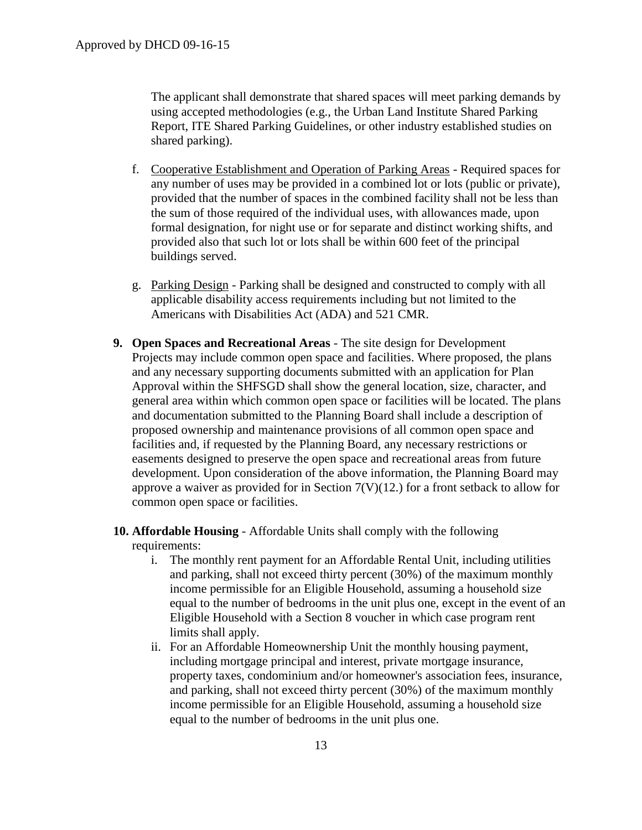The applicant shall demonstrate that shared spaces will meet parking demands by using accepted methodologies (e.g., the Urban Land Institute Shared Parking Report, ITE Shared Parking Guidelines, or other industry established studies on shared parking).

- f. Cooperative Establishment and Operation of Parking Areas Required spaces for any number of uses may be provided in a combined lot or lots (public or private), provided that the number of spaces in the combined facility shall not be less than the sum of those required of the individual uses, with allowances made, upon formal designation, for night use or for separate and distinct working shifts, and provided also that such lot or lots shall be within 600 feet of the principal buildings served.
- g. Parking Design Parking shall be designed and constructed to comply with all applicable disability access requirements including but not limited to the Americans with Disabilities Act (ADA) and 521 CMR.
- **9. Open Spaces and Recreational Areas** The site design for Development Projects may include common open space and facilities. Where proposed, the plans and any necessary supporting documents submitted with an application for Plan Approval within the SHFSGD shall show the general location, size, character, and general area within which common open space or facilities will be located. The plans and documentation submitted to the Planning Board shall include a description of proposed ownership and maintenance provisions of all common open space and facilities and, if requested by the Planning Board, any necessary restrictions or easements designed to preserve the open space and recreational areas from future development. Upon consideration of the above information, the Planning Board may approve a waiver as provided for in Section  $7(V)(12)$  for a front setback to allow for common open space or facilities.
- **10. Affordable Housing** Affordable Units shall comply with the following requirements:
	- i. The monthly rent payment for an Affordable Rental Unit, including utilities and parking, shall not exceed thirty percent (30%) of the maximum monthly income permissible for an Eligible Household, assuming a household size equal to the number of bedrooms in the unit plus one, except in the event of an Eligible Household with a Section 8 voucher in which case program rent limits shall apply.
	- ii. For an Affordable Homeownership Unit the monthly housing payment, including mortgage principal and interest, private mortgage insurance, property taxes, condominium and/or homeowner's association fees, insurance, and parking, shall not exceed thirty percent (30%) of the maximum monthly income permissible for an Eligible Household, assuming a household size equal to the number of bedrooms in the unit plus one.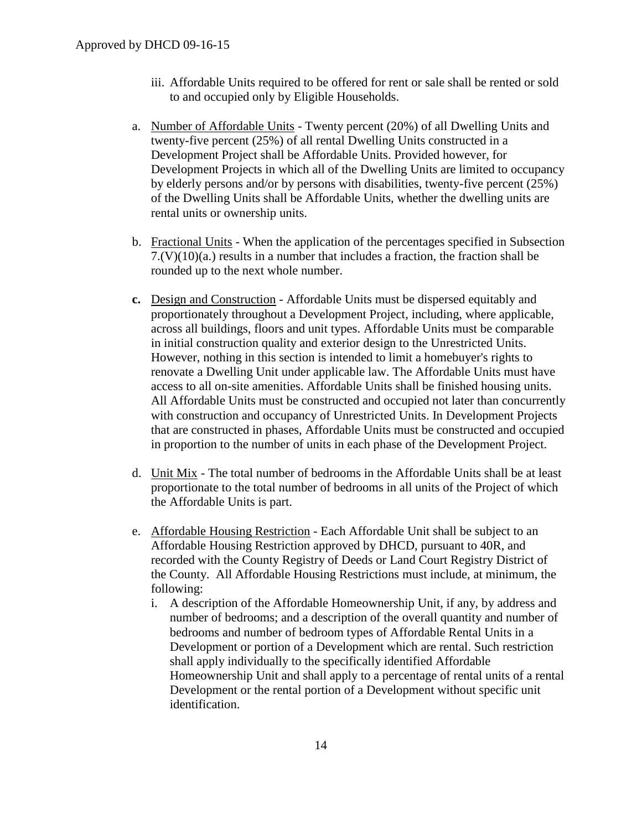- iii. Affordable Units required to be offered for rent or sale shall be rented or sold to and occupied only by Eligible Households.
- a. Number of Affordable Units Twenty percent (20%) of all Dwelling Units and twenty-five percent (25%) of all rental Dwelling Units constructed in a Development Project shall be Affordable Units. Provided however, for Development Projects in which all of the Dwelling Units are limited to occupancy by elderly persons and/or by persons with disabilities, twenty-five percent (25%) of the Dwelling Units shall be Affordable Units, whether the dwelling units are rental units or ownership units.
- b. Fractional Units When the application of the percentages specified in Subsection 7.(V)(10)(a.) results in a number that includes a fraction, the fraction shall be rounded up to the next whole number.
- **c.** Design and Construction Affordable Units must be dispersed equitably and proportionately throughout a Development Project, including, where applicable, across all buildings, floors and unit types. Affordable Units must be comparable in initial construction quality and exterior design to the Unrestricted Units. However, nothing in this section is intended to limit a homebuyer's rights to renovate a Dwelling Unit under applicable law. The Affordable Units must have access to all on-site amenities. Affordable Units shall be finished housing units. All Affordable Units must be constructed and occupied not later than concurrently with construction and occupancy of Unrestricted Units. In Development Projects that are constructed in phases, Affordable Units must be constructed and occupied in proportion to the number of units in each phase of the Development Project.
- d. Unit Mix The total number of bedrooms in the Affordable Units shall be at least proportionate to the total number of bedrooms in all units of the Project of which the Affordable Units is part.
- e. Affordable Housing Restriction Each Affordable Unit shall be subject to an Affordable Housing Restriction approved by DHCD, pursuant to 40R, and recorded with the County Registry of Deeds or Land Court Registry District of the County. All Affordable Housing Restrictions must include, at minimum, the following:
	- i. A description of the Affordable Homeownership Unit, if any, by address and number of bedrooms; and a description of the overall quantity and number of bedrooms and number of bedroom types of Affordable Rental Units in a Development or portion of a Development which are rental. Such restriction shall apply individually to the specifically identified Affordable Homeownership Unit and shall apply to a percentage of rental units of a rental Development or the rental portion of a Development without specific unit identification.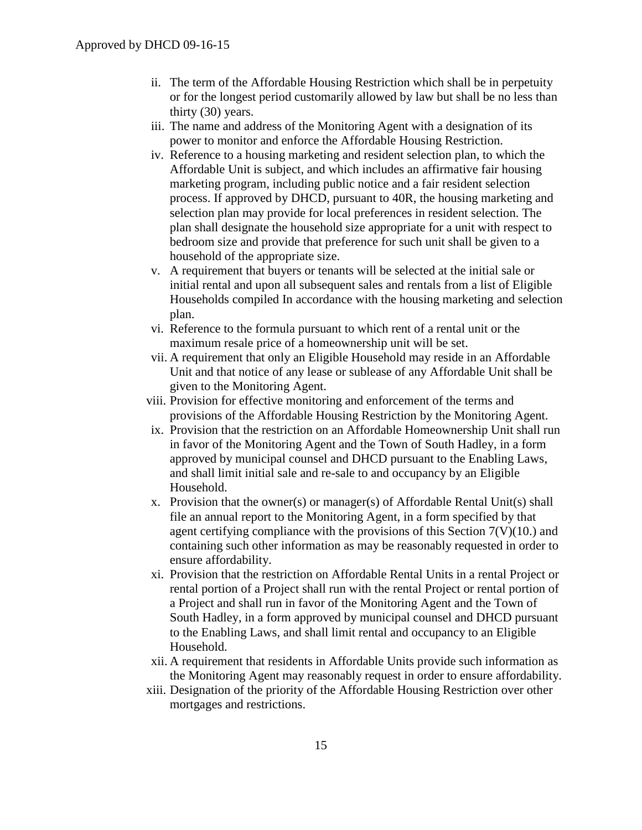- ii. The term of the Affordable Housing Restriction which shall be in perpetuity or for the longest period customarily allowed by law but shall be no less than thirty (30) years.
- iii. The name and address of the Monitoring Agent with a designation of its power to monitor and enforce the Affordable Housing Restriction.
- iv. Reference to a housing marketing and resident selection plan, to which the Affordable Unit is subject, and which includes an affirmative fair housing marketing program, including public notice and a fair resident selection process. If approved by DHCD, pursuant to 40R, the housing marketing and selection plan may provide for local preferences in resident selection. The plan shall designate the household size appropriate for a unit with respect to bedroom size and provide that preference for such unit shall be given to a household of the appropriate size.
- v. A requirement that buyers or tenants will be selected at the initial sale or initial rental and upon all subsequent sales and rentals from a list of Eligible Households compiled In accordance with the housing marketing and selection plan.
- vi. Reference to the formula pursuant to which rent of a rental unit or the maximum resale price of a homeownership unit will be set.
- vii. A requirement that only an Eligible Household may reside in an Affordable Unit and that notice of any lease or sublease of any Affordable Unit shall be given to the Monitoring Agent.
- viii. Provision for effective monitoring and enforcement of the terms and provisions of the Affordable Housing Restriction by the Monitoring Agent.
- ix. Provision that the restriction on an Affordable Homeownership Unit shall run in favor of the Monitoring Agent and the Town of South Hadley, in a form approved by municipal counsel and DHCD pursuant to the Enabling Laws, and shall limit initial sale and re-sale to and occupancy by an Eligible Household.
- x. Provision that the owner(s) or manager(s) of Affordable Rental Unit(s) shall file an annual report to the Monitoring Agent, in a form specified by that agent certifying compliance with the provisions of this Section 7(V)(10.) and containing such other information as may be reasonably requested in order to ensure affordability.
- xi. Provision that the restriction on Affordable Rental Units in a rental Project or rental portion of a Project shall run with the rental Project or rental portion of a Project and shall run in favor of the Monitoring Agent and the Town of South Hadley, in a form approved by municipal counsel and DHCD pursuant to the Enabling Laws, and shall limit rental and occupancy to an Eligible Household.
- xii. A requirement that residents in Affordable Units provide such information as the Monitoring Agent may reasonably request in order to ensure affordability.
- xiii. Designation of the priority of the Affordable Housing Restriction over other mortgages and restrictions.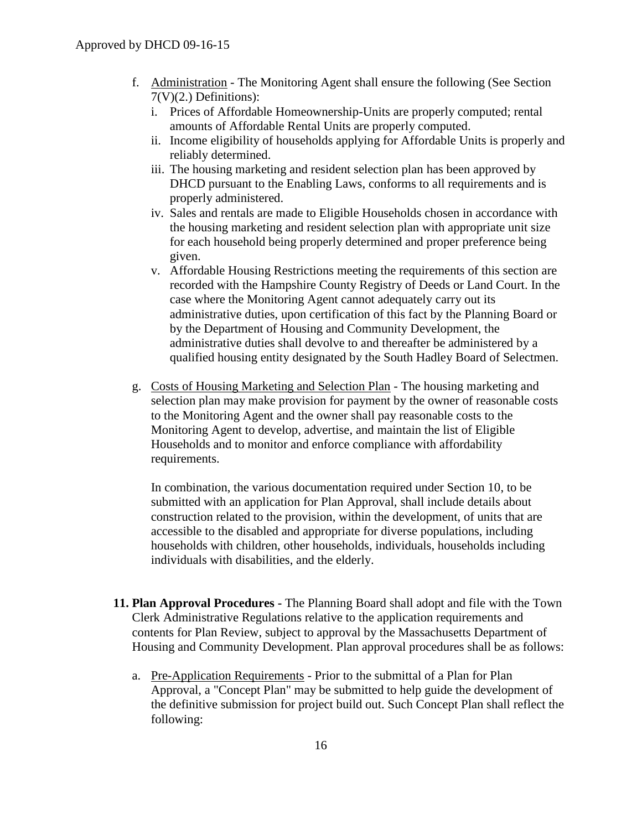- f. Administration The Monitoring Agent shall ensure the following (See Section  $7(V)(2.)$  Definitions):
	- i. Prices of Affordable Homeownership-Units are properly computed; rental amounts of Affordable Rental Units are properly computed.
	- ii. Income eligibility of households applying for Affordable Units is properly and reliably determined.
	- iii. The housing marketing and resident selection plan has been approved by DHCD pursuant to the Enabling Laws, conforms to all requirements and is properly administered.
	- iv. Sales and rentals are made to Eligible Households chosen in accordance with the housing marketing and resident selection plan with appropriate unit size for each household being properly determined and proper preference being given.
	- v. Affordable Housing Restrictions meeting the requirements of this section are recorded with the Hampshire County Registry of Deeds or Land Court. In the case where the Monitoring Agent cannot adequately carry out its administrative duties, upon certification of this fact by the Planning Board or by the Department of Housing and Community Development, the administrative duties shall devolve to and thereafter be administered by a qualified housing entity designated by the South Hadley Board of Selectmen.
- g. Costs of Housing Marketing and Selection Plan The housing marketing and selection plan may make provision for payment by the owner of reasonable costs to the Monitoring Agent and the owner shall pay reasonable costs to the Monitoring Agent to develop, advertise, and maintain the list of Eligible Households and to monitor and enforce compliance with affordability requirements.

In combination, the various documentation required under Section 10, to be submitted with an application for Plan Approval, shall include details about construction related to the provision, within the development, of units that are accessible to the disabled and appropriate for diverse populations, including households with children, other households, individuals, households including individuals with disabilities, and the elderly.

- **11. Plan Approval Procedures -** The Planning Board shall adopt and file with the Town Clerk Administrative Regulations relative to the application requirements and contents for Plan Review, subject to approval by the Massachusetts Department of Housing and Community Development. Plan approval procedures shall be as follows:
	- a. Pre-Application Requirements Prior to the submittal of a Plan for Plan Approval, a "Concept Plan" may be submitted to help guide the development of the definitive submission for project build out. Such Concept Plan shall reflect the following: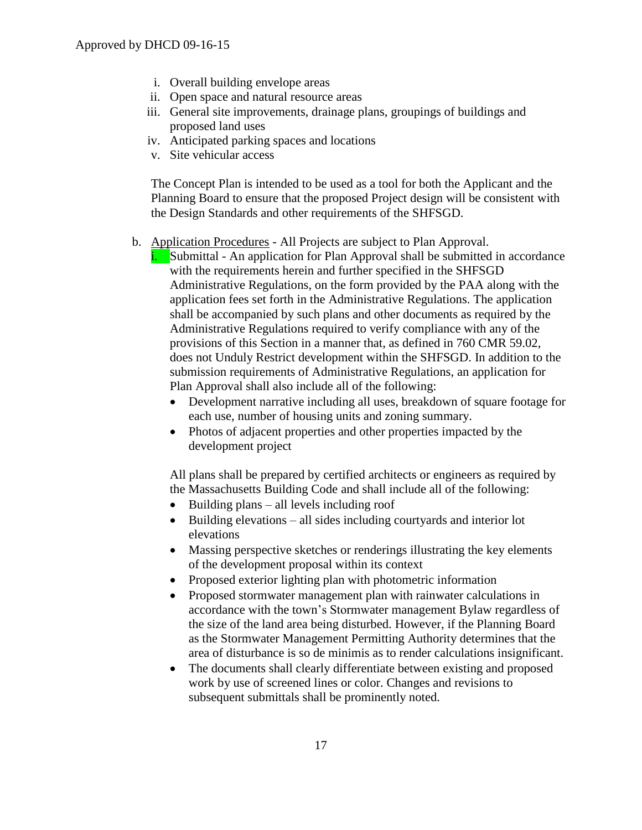- i. Overall building envelope areas
- ii. Open space and natural resource areas
- iii. General site improvements, drainage plans, groupings of buildings and proposed land uses
- iv. Anticipated parking spaces and locations
- v. Site vehicular access

The Concept Plan is intended to be used as a tool for both the Applicant and the Planning Board to ensure that the proposed Project design will be consistent with the Design Standards and other requirements of the SHFSGD.

- b. Application Procedures All Projects are subject to Plan Approval.
	- i. Submittal An application for Plan Approval shall be submitted in accordance with the requirements herein and further specified in the SHFSGD Administrative Regulations, on the form provided by the PAA along with the application fees set forth in the Administrative Regulations. The application shall be accompanied by such plans and other documents as required by the Administrative Regulations required to verify compliance with any of the provisions of this Section in a manner that, as defined in 760 CMR 59.02, does not Unduly Restrict development within the SHFSGD. In addition to the submission requirements of Administrative Regulations, an application for Plan Approval shall also include all of the following:
		- Development narrative including all uses, breakdown of square footage for each use, number of housing units and zoning summary.
		- Photos of adjacent properties and other properties impacted by the development project

All plans shall be prepared by certified architects or engineers as required by the Massachusetts Building Code and shall include all of the following:

- $\bullet$  Building plans all levels including roof
- Building elevations all sides including courty and interior lot elevations
- Massing perspective sketches or renderings illustrating the key elements of the development proposal within its context
- Proposed exterior lighting plan with photometric information
- Proposed stormwater management plan with rainwater calculations in accordance with the town's Stormwater management Bylaw regardless of the size of the land area being disturbed. However, if the Planning Board as the Stormwater Management Permitting Authority determines that the area of disturbance is so de minimis as to render calculations insignificant.
- The documents shall clearly differentiate between existing and proposed work by use of screened lines or color. Changes and revisions to subsequent submittals shall be prominently noted.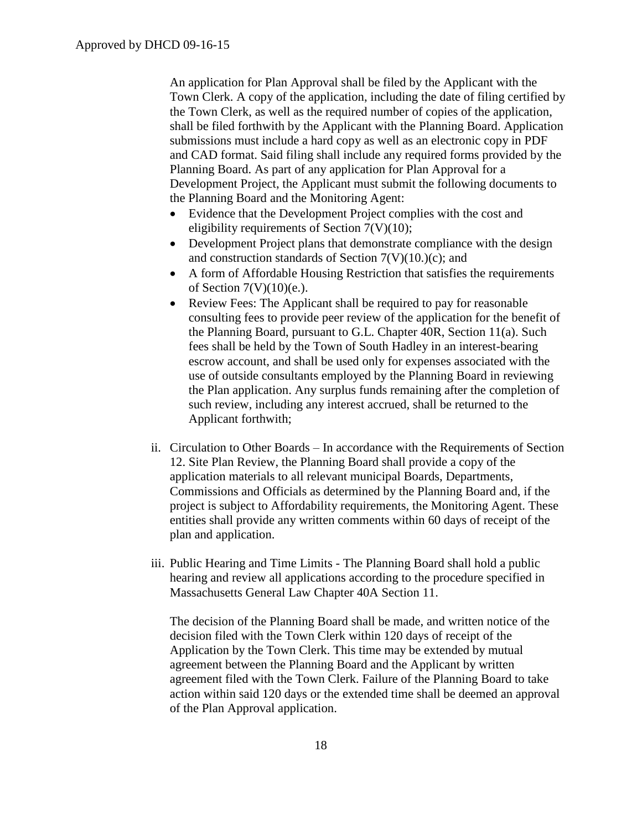An application for Plan Approval shall be filed by the Applicant with the Town Clerk. A copy of the application, including the date of filing certified by the Town Clerk, as well as the required number of copies of the application, shall be filed forthwith by the Applicant with the Planning Board. Application submissions must include a hard copy as well as an electronic copy in PDF and CAD format. Said filing shall include any required forms provided by the Planning Board. As part of any application for Plan Approval for a Development Project, the Applicant must submit the following documents to the Planning Board and the Monitoring Agent:

- Evidence that the Development Project complies with the cost and eligibility requirements of Section 7(V)(10);
- Development Project plans that demonstrate compliance with the design and construction standards of Section  $7(V)(10.)(c)$ ; and
- A form of Affordable Housing Restriction that satisfies the requirements of Section  $7(V)(10)(e)$ .
- Review Fees: The Applicant shall be required to pay for reasonable consulting fees to provide peer review of the application for the benefit of the Planning Board, pursuant to G.L. Chapter 40R, Section 11(a). Such fees shall be held by the Town of South Hadley in an interest-bearing escrow account, and shall be used only for expenses associated with the use of outside consultants employed by the Planning Board in reviewing the Plan application. Any surplus funds remaining after the completion of such review, including any interest accrued, shall be returned to the Applicant forthwith;
- ii. Circulation to Other Boards In accordance with the Requirements of Section 12. Site Plan Review, the Planning Board shall provide a copy of the application materials to all relevant municipal Boards, Departments, Commissions and Officials as determined by the Planning Board and, if the project is subject to Affordability requirements, the Monitoring Agent. These entities shall provide any written comments within 60 days of receipt of the plan and application.
- iii. Public Hearing and Time Limits The Planning Board shall hold a public hearing and review all applications according to the procedure specified in Massachusetts General Law Chapter 40A Section 11.

The decision of the Planning Board shall be made, and written notice of the decision filed with the Town Clerk within 120 days of receipt of the Application by the Town Clerk. This time may be extended by mutual agreement between the Planning Board and the Applicant by written agreement filed with the Town Clerk. Failure of the Planning Board to take action within said 120 days or the extended time shall be deemed an approval of the Plan Approval application.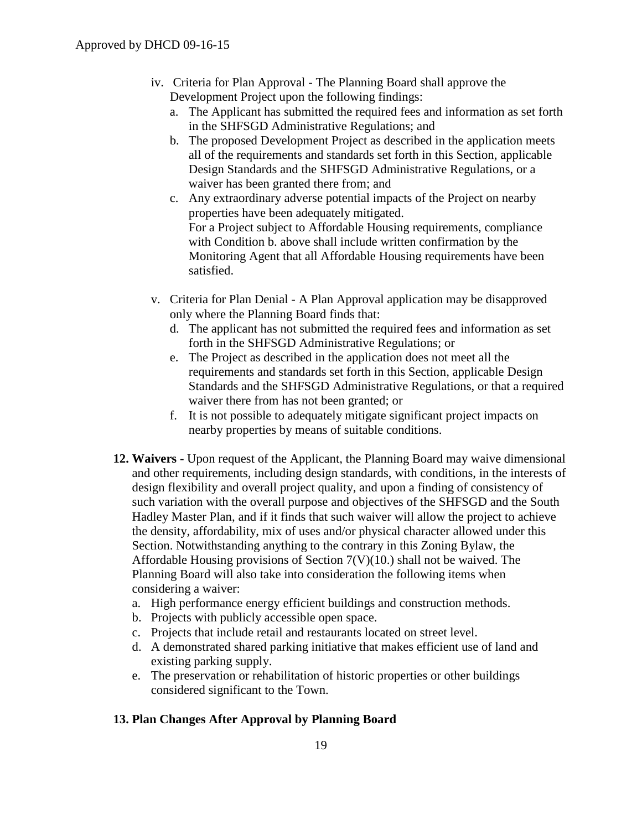- iv. Criteria for Plan Approval The Planning Board shall approve the Development Project upon the following findings:
	- a. The Applicant has submitted the required fees and information as set forth in the SHFSGD Administrative Regulations; and
	- b. The proposed Development Project as described in the application meets all of the requirements and standards set forth in this Section, applicable Design Standards and the SHFSGD Administrative Regulations, or a waiver has been granted there from; and
	- c. Any extraordinary adverse potential impacts of the Project on nearby properties have been adequately mitigated. For a Project subject to Affordable Housing requirements, compliance with Condition b. above shall include written confirmation by the Monitoring Agent that all Affordable Housing requirements have been satisfied.
- v. Criteria for Plan Denial A Plan Approval application may be disapproved only where the Planning Board finds that:
	- d. The applicant has not submitted the required fees and information as set forth in the SHFSGD Administrative Regulations; or
	- e. The Project as described in the application does not meet all the requirements and standards set forth in this Section, applicable Design Standards and the SHFSGD Administrative Regulations, or that a required waiver there from has not been granted; or
	- f. It is not possible to adequately mitigate significant project impacts on nearby properties by means of suitable conditions.
- **12. Waivers -** Upon request of the Applicant, the Planning Board may waive dimensional and other requirements, including design standards, with conditions, in the interests of design flexibility and overall project quality, and upon a finding of consistency of such variation with the overall purpose and objectives of the SHFSGD and the South Hadley Master Plan, and if it finds that such waiver will allow the project to achieve the density, affordability, mix of uses and/or physical character allowed under this Section. Notwithstanding anything to the contrary in this Zoning Bylaw, the Affordable Housing provisions of Section 7(V)(10.) shall not be waived. The Planning Board will also take into consideration the following items when considering a waiver:
	- a. High performance energy efficient buildings and construction methods.
	- b. Projects with publicly accessible open space.
	- c. Projects that include retail and restaurants located on street level.
	- d. A demonstrated shared parking initiative that makes efficient use of land and existing parking supply.
	- e. The preservation or rehabilitation of historic properties or other buildings considered significant to the Town.

#### **13. Plan Changes After Approval by Planning Board**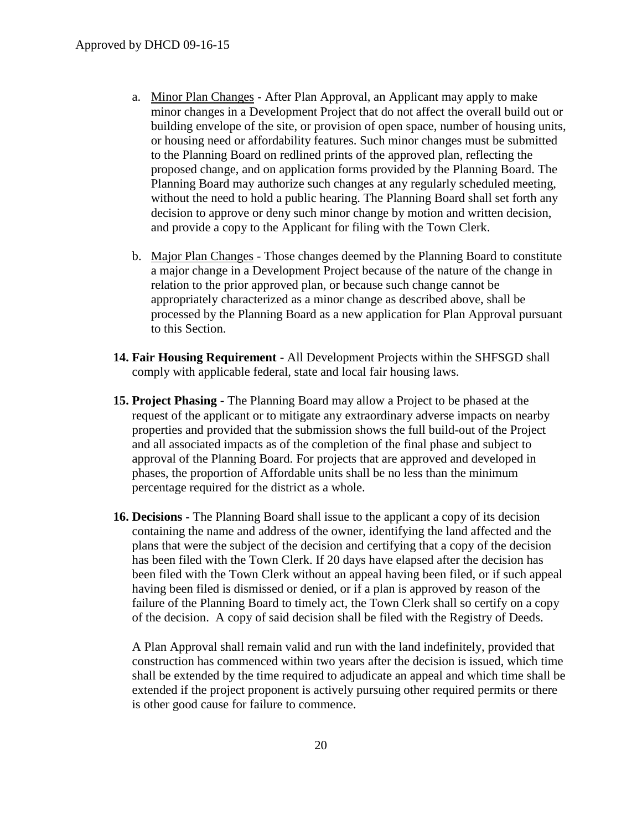- a. Minor Plan Changes After Plan Approval, an Applicant may apply to make minor changes in a Development Project that do not affect the overall build out or building envelope of the site, or provision of open space, number of housing units, or housing need or affordability features. Such minor changes must be submitted to the Planning Board on redlined prints of the approved plan, reflecting the proposed change, and on application forms provided by the Planning Board. The Planning Board may authorize such changes at any regularly scheduled meeting, without the need to hold a public hearing. The Planning Board shall set forth any decision to approve or deny such minor change by motion and written decision, and provide a copy to the Applicant for filing with the Town Clerk.
- b. Major Plan Changes Those changes deemed by the Planning Board to constitute a major change in a Development Project because of the nature of the change in relation to the prior approved plan, or because such change cannot be appropriately characterized as a minor change as described above, shall be processed by the Planning Board as a new application for Plan Approval pursuant to this Section.
- **14. Fair Housing Requirement -** All Development Projects within the SHFSGD shall comply with applicable federal, state and local fair housing laws.
- **15. Project Phasing -** The Planning Board may allow a Project to be phased at the request of the applicant or to mitigate any extraordinary adverse impacts on nearby properties and provided that the submission shows the full build-out of the Project and all associated impacts as of the completion of the final phase and subject to approval of the Planning Board. For projects that are approved and developed in phases, the proportion of Affordable units shall be no less than the minimum percentage required for the district as a whole.
- **16. Decisions -** The Planning Board shall issue to the applicant a copy of its decision containing the name and address of the owner, identifying the land affected and the plans that were the subject of the decision and certifying that a copy of the decision has been filed with the Town Clerk. If 20 days have elapsed after the decision has been filed with the Town Clerk without an appeal having been filed, or if such appeal having been filed is dismissed or denied, or if a plan is approved by reason of the failure of the Planning Board to timely act, the Town Clerk shall so certify on a copy of the decision. A copy of said decision shall be filed with the Registry of Deeds.

A Plan Approval shall remain valid and run with the land indefinitely, provided that construction has commenced within two years after the decision is issued, which time shall be extended by the time required to adjudicate an appeal and which time shall be extended if the project proponent is actively pursuing other required permits or there is other good cause for failure to commence.